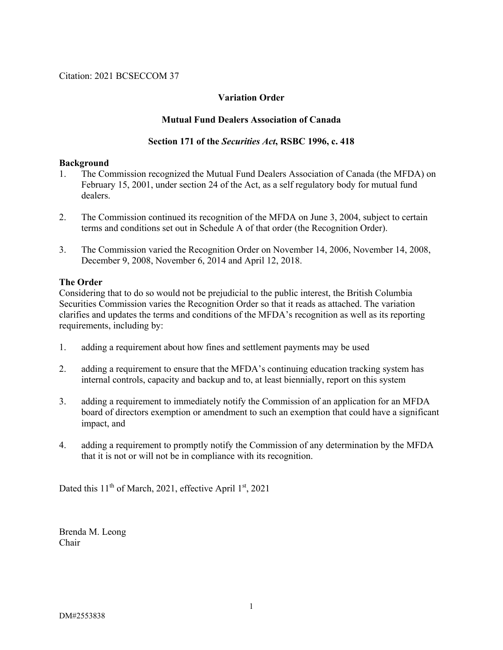Citation: 2021 BCSECCOM 37

## **Variation Order**

### **Mutual Fund Dealers Association of Canada**

#### **Section 171 of the** *Securities Act***, RSBC 1996, c. 418**

#### **Background**

- 1. The Commission recognized the Mutual Fund Dealers Association of Canada (the MFDA) on February 15, 2001, under section 24 of the Act, as a self regulatory body for mutual fund dealers.
- 2. The Commission continued its recognition of the MFDA on June 3, 2004, subject to certain terms and conditions set out in Schedule A of that order (the Recognition Order).
- 3. The Commission varied the Recognition Order on November 14, 2006, November 14, 2008, December 9, 2008, November 6, 2014 and April 12, 2018.

#### **The Order**

Considering that to do so would not be prejudicial to the public interest, the British Columbia Securities Commission varies the Recognition Order so that it reads as attached. The variation clarifies and updates the terms and conditions of the MFDA's recognition as well as its reporting requirements, including by:

- 1. adding a requirement about how fines and settlement payments may be used
- 2. adding a requirement to ensure that the MFDA's continuing education tracking system has internal controls, capacity and backup and to, at least biennially, report on this system
- 3. adding a requirement to immediately notify the Commission of an application for an MFDA board of directors exemption or amendment to such an exemption that could have a significant impact, and
- 4. adding a requirement to promptly notify the Commission of any determination by the MFDA that it is not or will not be in compliance with its recognition.

Dated this 11<sup>th</sup> of March, 2021, effective April 1st, 2021

Brenda M. Leong Chair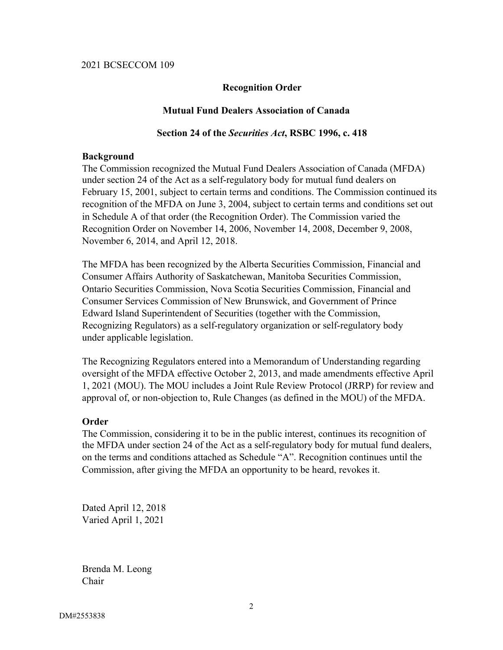### **Recognition Order**

### **Mutual Fund Dealers Association of Canada**

#### **Section 24 of the** *Securities Act***, RSBC 1996, c. 418**

#### **Background**

The Commission recognized the Mutual Fund Dealers Association of Canada (MFDA) under section 24 of the Act as a self-regulatory body for mutual fund dealers on February 15, 2001, subject to certain terms and conditions. The Commission continued its recognition of the MFDA on June 3, 2004, subject to certain terms and conditions set out in Schedule A of that order (the Recognition Order). The Commission varied the Recognition Order on November 14, 2006, November 14, 2008, December 9, 2008, November 6, 2014, and April 12, 2018.

The MFDA has been recognized by the Alberta Securities Commission, Financial and Consumer Affairs Authority of Saskatchewan, Manitoba Securities Commission, Ontario Securities Commission, Nova Scotia Securities Commission, Financial and Consumer Services Commission of New Brunswick, and Government of Prince Edward Island Superintendent of Securities (together with the Commission, Recognizing Regulators) as a self-regulatory organization or self-regulatory body under applicable legislation.

The Recognizing Regulators entered into a Memorandum of Understanding regarding oversight of the MFDA effective October 2, 2013, and made amendments effective April 1, 2021 (MOU). The MOU includes a Joint Rule Review Protocol (JRRP) for review and approval of, or non-objection to, Rule Changes (as defined in the MOU) of the MFDA.

### **Order**

The Commission, considering it to be in the public interest, continues its recognition of the MFDA under section 24 of the Act as a self-regulatory body for mutual fund dealers, on the terms and conditions attached as Schedule "A". Recognition continues until the Commission, after giving the MFDA an opportunity to be heard, revokes it.

Dated April 12, 2018 Varied April 1, 2021

Brenda M. Leong Chair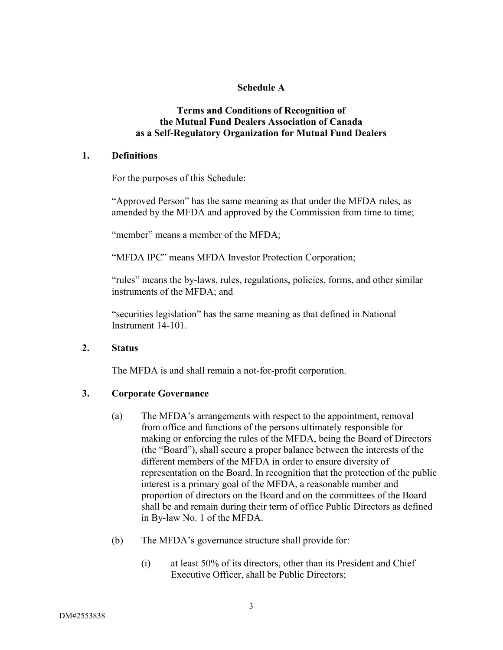# **Schedule A**

### **Terms and Conditions of Recognition of the Mutual Fund Dealers Association of Canada as a Self-Regulatory Organization for Mutual Fund Dealers**

#### **1. Definitions**

For the purposes of this Schedule:

"Approved Person" has the same meaning as that under the MFDA rules, as amended by the MFDA and approved by the Commission from time to time;

"member" means a member of the MFDA;

"MFDA IPC" means MFDA Investor Protection Corporation;

"rules" means the by-laws, rules, regulations, policies, forms, and other similar instruments of the MFDA; and

"securities legislation" has the same meaning as that defined in National Instrument 14-101.

### **2. Status**

The MFDA is and shall remain a not-for-profit corporation.

### **3. Corporate Governance**

- (a) The MFDA's arrangements with respect to the appointment, removal from office and functions of the persons ultimately responsible for making or enforcing the rules of the MFDA, being the Board of Directors (the "Board"), shall secure a proper balance between the interests of the different members of the MFDA in order to ensure diversity of representation on the Board. In recognition that the protection of the public interest is a primary goal of the MFDA, a reasonable number and proportion of directors on the Board and on the committees of the Board shall be and remain during their term of office Public Directors as defined in By-law No. 1 of the MFDA.
- (b) The MFDA's governance structure shall provide for:
	- (i) at least 50% of its directors, other than its President and Chief Executive Officer, shall be Public Directors;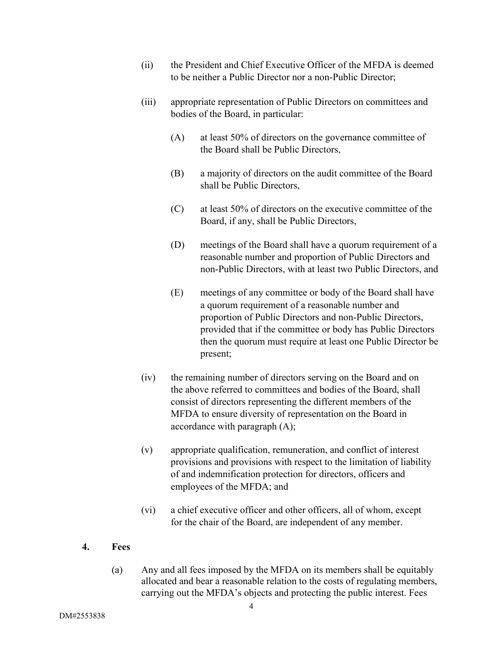- (ii) the President and Chief Executive Officer of the MFDA is deemed to be neither a Public Director nor a non-Public Director;
- (iii) appropriate representation of Public Directors on committees and bodies of the Board, in particular:
	- (A) at least 50% of directors on the governance committee of the Board shall be Public Directors,
	- (B) a majority of directors on the audit committee of the Board shall be Public Directors,
	- (C) at least 50% of directors on the executive committee of the Board, if any, shall be Public Directors,
	- (D) meetings of the Board shall have a quorum requirement of a reasonable number and proportion of Public Directors and non-Public Directors, with at least two Public Directors, and
	- (E) meetings of any committee or body of the Board shall have a quorum requirement of a reasonable number and proportion of Public Directors and non-Public Directors, provided that if the committee or body has Public Directors then the quorum must require at least one Public Director be present;
- (iv) the remaining number of directors serving on the Board and on the above referred to committees and bodies of the Board, shall consist of directors representing the different members of the MFDA to ensure diversity of representation on the Board in accordance with paragraph (A);
- (v) appropriate qualification, remuneration, and conflict of interest provisions and provisions with respect to the limitation of liability of and indemnification protection for directors, officers and employees of the MFDA; and
- (vi) a chief executive officer and other officers, all of whom, except for the chair of the Board, are independent of any member.

### **4. Fees**

(a) Any and all fees imposed by the MFDA on its members shall be equitably allocated and bear a reasonable relation to the costs of regulating members, carrying out the MFDA's objects and protecting the public interest. Fees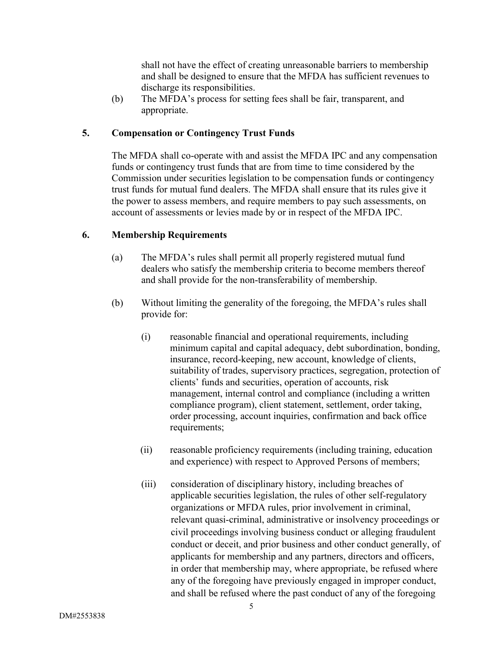shall not have the effect of creating unreasonable barriers to membership and shall be designed to ensure that the MFDA has sufficient revenues to discharge its responsibilities.

(b) The MFDA's process for setting fees shall be fair, transparent, and appropriate.

# **5. Compensation or Contingency Trust Funds**

The MFDA shall co-operate with and assist the MFDA IPC and any compensation funds or contingency trust funds that are from time to time considered by the Commission under securities legislation to be compensation funds or contingency trust funds for mutual fund dealers. The MFDA shall ensure that its rules give it the power to assess members, and require members to pay such assessments, on account of assessments or levies made by or in respect of the MFDA IPC.

## **6. Membership Requirements**

- (a) The MFDA's rules shall permit all properly registered mutual fund dealers who satisfy the membership criteria to become members thereof and shall provide for the non-transferability of membership.
- (b) Without limiting the generality of the foregoing, the MFDA's rules shall provide for:
	- (i) reasonable financial and operational requirements, including minimum capital and capital adequacy, debt subordination, bonding, insurance, record-keeping, new account, knowledge of clients, suitability of trades, supervisory practices, segregation, protection of clients' funds and securities, operation of accounts, risk management, internal control and compliance (including a written compliance program), client statement, settlement, order taking, order processing, account inquiries, confirmation and back office requirements;
	- (ii) reasonable proficiency requirements (including training, education and experience) with respect to Approved Persons of members;
	- (iii) consideration of disciplinary history, including breaches of applicable securities legislation, the rules of other self-regulatory organizations or MFDA rules, prior involvement in criminal, relevant quasi-criminal, administrative or insolvency proceedings or civil proceedings involving business conduct or alleging fraudulent conduct or deceit, and prior business and other conduct generally, of applicants for membership and any partners, directors and officers, in order that membership may, where appropriate, be refused where any of the foregoing have previously engaged in improper conduct, and shall be refused where the past conduct of any of the foregoing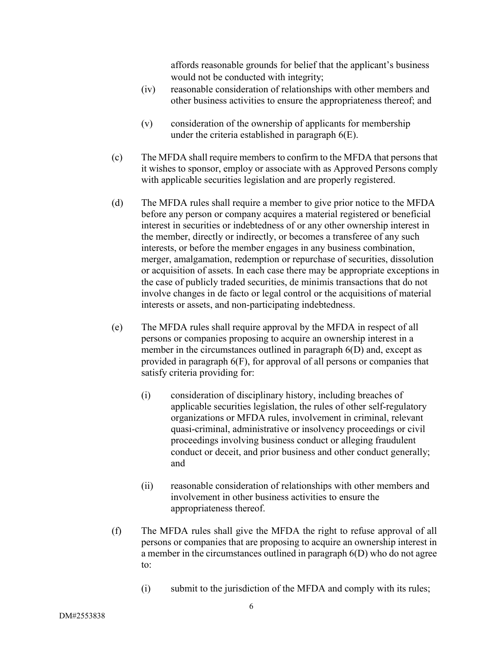affords reasonable grounds for belief that the applicant's business would not be conducted with integrity;

- (iv) reasonable consideration of relationships with other members and other business activities to ensure the appropriateness thereof; and
- (v) consideration of the ownership of applicants for membership under the criteria established in paragraph 6(E).
- (c) The MFDA shall require members to confirm to the MFDA that persons that it wishes to sponsor, employ or associate with as Approved Persons comply with applicable securities legislation and are properly registered.
- (d) The MFDA rules shall require a member to give prior notice to the MFDA before any person or company acquires a material registered or beneficial interest in securities or indebtedness of or any other ownership interest in the member, directly or indirectly, or becomes a transferee of any such interests, or before the member engages in any business combination, merger, amalgamation, redemption or repurchase of securities, dissolution or acquisition of assets. In each case there may be appropriate exceptions in the case of publicly traded securities, de minimis transactions that do not involve changes in de facto or legal control or the acquisitions of material interests or assets, and non-participating indebtedness.
- (e) The MFDA rules shall require approval by the MFDA in respect of all persons or companies proposing to acquire an ownership interest in a member in the circumstances outlined in paragraph  $6(D)$  and, except as provided in paragraph 6(F), for approval of all persons or companies that satisfy criteria providing for:
	- (i) consideration of disciplinary history, including breaches of applicable securities legislation, the rules of other self-regulatory organizations or MFDA rules, involvement in criminal, relevant quasi-criminal, administrative or insolvency proceedings or civil proceedings involving business conduct or alleging fraudulent conduct or deceit, and prior business and other conduct generally; and
	- (ii) reasonable consideration of relationships with other members and involvement in other business activities to ensure the appropriateness thereof.
- (f) The MFDA rules shall give the MFDA the right to refuse approval of all persons or companies that are proposing to acquire an ownership interest in a member in the circumstances outlined in paragraph 6(D) who do not agree to:
	- (i) submit to the jurisdiction of the MFDA and comply with its rules;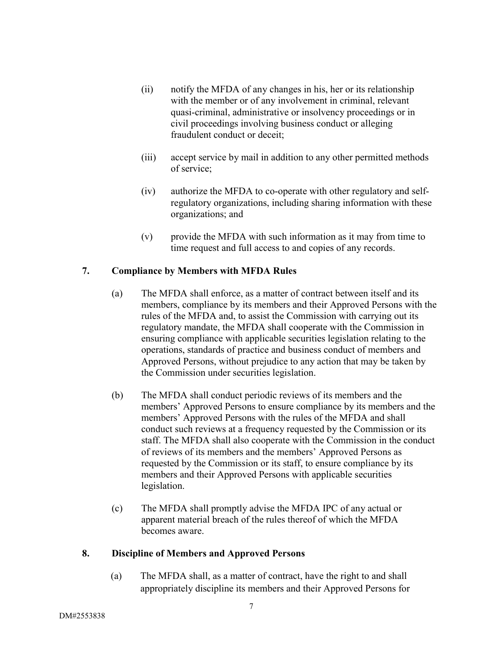- (ii) notify the MFDA of any changes in his, her or its relationship with the member or of any involvement in criminal, relevant quasi-criminal, administrative or insolvency proceedings or in civil proceedings involving business conduct or alleging fraudulent conduct or deceit;
- (iii) accept service by mail in addition to any other permitted methods of service;
- (iv) authorize the MFDA to co-operate with other regulatory and selfregulatory organizations, including sharing information with these organizations; and
- (v) provide the MFDA with such information as it may from time to time request and full access to and copies of any records.

# **7. Compliance by Members with MFDA Rules**

- (a) The MFDA shall enforce, as a matter of contract between itself and its members, compliance by its members and their Approved Persons with the rules of the MFDA and, to assist the Commission with carrying out its regulatory mandate, the MFDA shall cooperate with the Commission in ensuring compliance with applicable securities legislation relating to the operations, standards of practice and business conduct of members and Approved Persons, without prejudice to any action that may be taken by the Commission under securities legislation.
- (b) The MFDA shall conduct periodic reviews of its members and the members' Approved Persons to ensure compliance by its members and the members' Approved Persons with the rules of the MFDA and shall conduct such reviews at a frequency requested by the Commission or its staff. The MFDA shall also cooperate with the Commission in the conduct of reviews of its members and the members' Approved Persons as requested by the Commission or its staff, to ensure compliance by its members and their Approved Persons with applicable securities legislation.
- (c) The MFDA shall promptly advise the MFDA IPC of any actual or apparent material breach of the rules thereof of which the MFDA becomes aware.

# **8. Discipline of Members and Approved Persons**

(a) The MFDA shall, as a matter of contract, have the right to and shall appropriately discipline its members and their Approved Persons for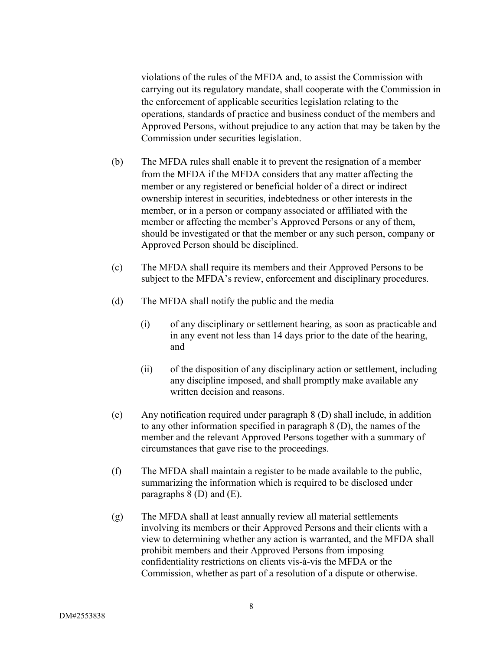violations of the rules of the MFDA and, to assist the Commission with carrying out its regulatory mandate, shall cooperate with the Commission in the enforcement of applicable securities legislation relating to the operations, standards of practice and business conduct of the members and Approved Persons, without prejudice to any action that may be taken by the Commission under securities legislation.

- (b) The MFDA rules shall enable it to prevent the resignation of a member from the MFDA if the MFDA considers that any matter affecting the member or any registered or beneficial holder of a direct or indirect ownership interest in securities, indebtedness or other interests in the member, or in a person or company associated or affiliated with the member or affecting the member's Approved Persons or any of them, should be investigated or that the member or any such person, company or Approved Person should be disciplined.
- (c) The MFDA shall require its members and their Approved Persons to be subject to the MFDA's review, enforcement and disciplinary procedures.
- (d) The MFDA shall notify the public and the media
	- (i) of any disciplinary or settlement hearing, as soon as practicable and in any event not less than 14 days prior to the date of the hearing, and
	- (ii) of the disposition of any disciplinary action or settlement, including any discipline imposed, and shall promptly make available any written decision and reasons.
- (e) Any notification required under paragraph 8 (D) shall include, in addition to any other information specified in paragraph 8 (D), the names of the member and the relevant Approved Persons together with a summary of circumstances that gave rise to the proceedings.
- (f) The MFDA shall maintain a register to be made available to the public, summarizing the information which is required to be disclosed under paragraphs 8 (D) and (E).
- (g) The MFDA shall at least annually review all material settlements involving its members or their Approved Persons and their clients with a view to determining whether any action is warranted, and the MFDA shall prohibit members and their Approved Persons from imposing confidentiality restrictions on clients vis-à-vis the MFDA or the Commission, whether as part of a resolution of a dispute or otherwise.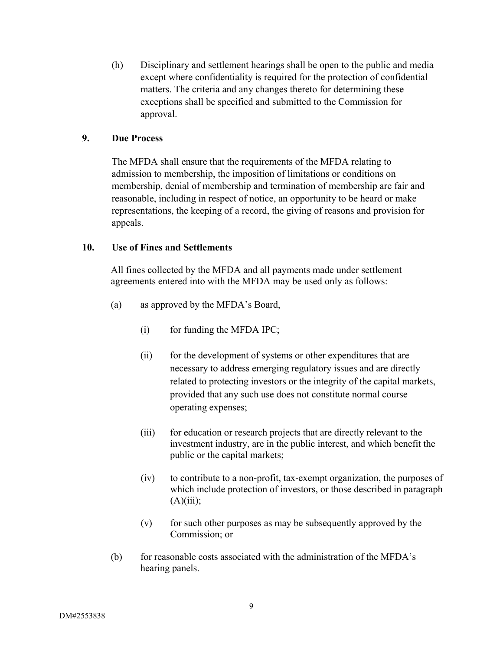(h) Disciplinary and settlement hearings shall be open to the public and media except where confidentiality is required for the protection of confidential matters. The criteria and any changes thereto for determining these exceptions shall be specified and submitted to the Commission for approval.

### **9. Due Process**

The MFDA shall ensure that the requirements of the MFDA relating to admission to membership, the imposition of limitations or conditions on membership, denial of membership and termination of membership are fair and reasonable, including in respect of notice, an opportunity to be heard or make representations, the keeping of a record, the giving of reasons and provision for appeals.

### **10. Use of Fines and Settlements**

All fines collected by the MFDA and all payments made under settlement agreements entered into with the MFDA may be used only as follows:

- (a) as approved by the MFDA's Board,
	- $(i)$  for funding the MFDA IPC;
	- (ii) for the development of systems or other expenditures that are necessary to address emerging regulatory issues and are directly related to protecting investors or the integrity of the capital markets, provided that any such use does not constitute normal course operating expenses;
	- (iii) for education or research projects that are directly relevant to the investment industry, are in the public interest, and which benefit the public or the capital markets;
	- (iv) to contribute to a non-profit, tax-exempt organization, the purposes of which include protection of investors, or those described in paragraph  $(A)(iii);$
	- (v) for such other purposes as may be subsequently approved by the Commission; or
- (b) for reasonable costs associated with the administration of the MFDA's hearing panels.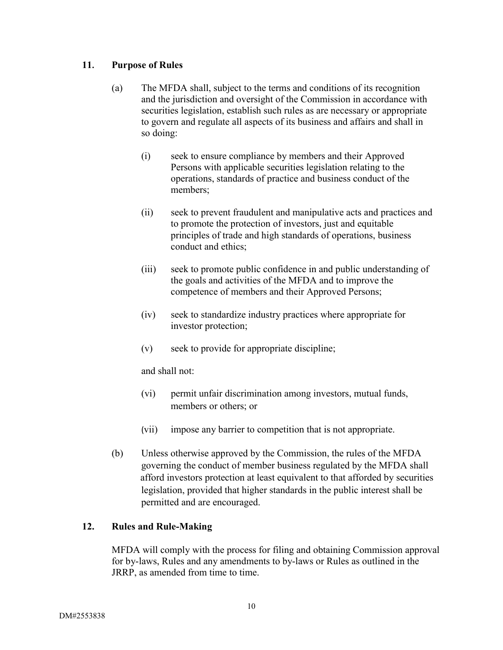## **11. Purpose of Rules**

- (a) The MFDA shall, subject to the terms and conditions of its recognition and the jurisdiction and oversight of the Commission in accordance with securities legislation, establish such rules as are necessary or appropriate to govern and regulate all aspects of its business and affairs and shall in so doing:
	- (i) seek to ensure compliance by members and their Approved Persons with applicable securities legislation relating to the operations, standards of practice and business conduct of the members;
	- (ii) seek to prevent fraudulent and manipulative acts and practices and to promote the protection of investors, just and equitable principles of trade and high standards of operations, business conduct and ethics;
	- (iii) seek to promote public confidence in and public understanding of the goals and activities of the MFDA and to improve the competence of members and their Approved Persons;
	- (iv) seek to standardize industry practices where appropriate for investor protection;
	- (v) seek to provide for appropriate discipline;

and shall not:

- (vi) permit unfair discrimination among investors, mutual funds, members or others; or
- (vii) impose any barrier to competition that is not appropriate.
- (b) Unless otherwise approved by the Commission, the rules of the MFDA governing the conduct of member business regulated by the MFDA shall afford investors protection at least equivalent to that afforded by securities legislation, provided that higher standards in the public interest shall be permitted and are encouraged.

# **12. Rules and Rule-Making**

MFDA will comply with the process for filing and obtaining Commission approval for by-laws, Rules and any amendments to by-laws or Rules as outlined in the JRRP, as amended from time to time.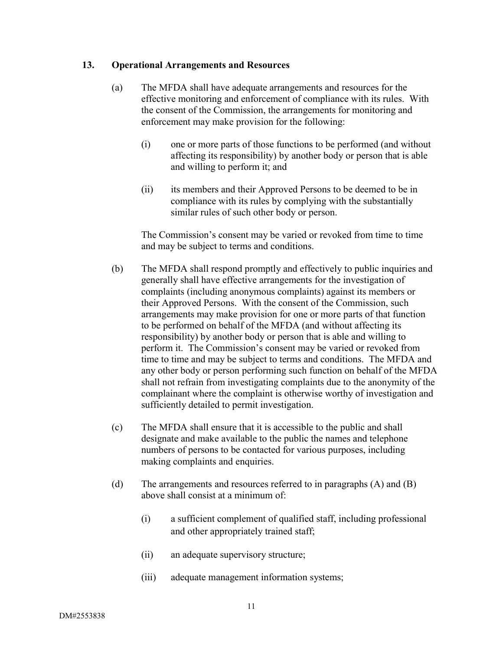### **13. Operational Arrangements and Resources**

- (a) The MFDA shall have adequate arrangements and resources for the effective monitoring and enforcement of compliance with its rules. With the consent of the Commission, the arrangements for monitoring and enforcement may make provision for the following:
	- (i) one or more parts of those functions to be performed (and without affecting its responsibility) by another body or person that is able and willing to perform it; and
	- (ii) its members and their Approved Persons to be deemed to be in compliance with its rules by complying with the substantially similar rules of such other body or person.

The Commission's consent may be varied or revoked from time to time and may be subject to terms and conditions.

- (b) The MFDA shall respond promptly and effectively to public inquiries and generally shall have effective arrangements for the investigation of complaints (including anonymous complaints) against its members or their Approved Persons. With the consent of the Commission, such arrangements may make provision for one or more parts of that function to be performed on behalf of the MFDA (and without affecting its responsibility) by another body or person that is able and willing to perform it. The Commission's consent may be varied or revoked from time to time and may be subject to terms and conditions. The MFDA and any other body or person performing such function on behalf of the MFDA shall not refrain from investigating complaints due to the anonymity of the complainant where the complaint is otherwise worthy of investigation and sufficiently detailed to permit investigation.
- (c) The MFDA shall ensure that it is accessible to the public and shall designate and make available to the public the names and telephone numbers of persons to be contacted for various purposes, including making complaints and enquiries.
- (d) The arrangements and resources referred to in paragraphs (A) and (B) above shall consist at a minimum of:
	- (i) a sufficient complement of qualified staff, including professional and other appropriately trained staff;
	- (ii) an adequate supervisory structure;
	- (iii) adequate management information systems;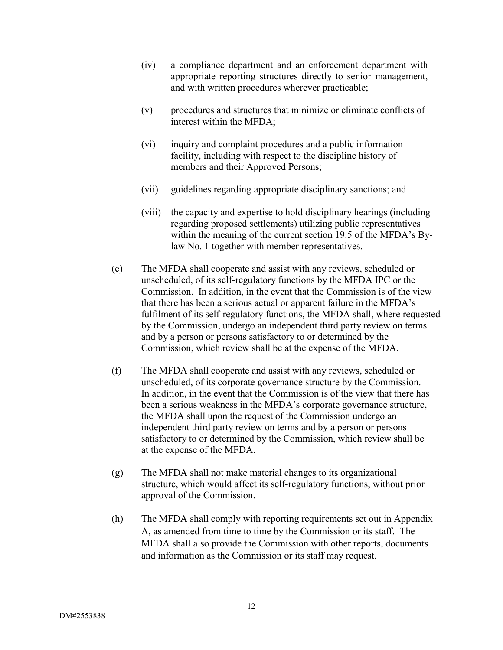- (iv) a compliance department and an enforcement department with appropriate reporting structures directly to senior management, and with written procedures wherever practicable;
- (v) procedures and structures that minimize or eliminate conflicts of interest within the MFDA;
- (vi) inquiry and complaint procedures and a public information facility, including with respect to the discipline history of members and their Approved Persons;
- (vii) guidelines regarding appropriate disciplinary sanctions; and
- (viii) the capacity and expertise to hold disciplinary hearings (including regarding proposed settlements) utilizing public representatives within the meaning of the current section 19.5 of the MFDA's Bylaw No. 1 together with member representatives.
- (e) The MFDA shall cooperate and assist with any reviews, scheduled or unscheduled, of its self-regulatory functions by the MFDA IPC or the Commission. In addition, in the event that the Commission is of the view that there has been a serious actual or apparent failure in the MFDA's fulfilment of its self-regulatory functions, the MFDA shall, where requested by the Commission, undergo an independent third party review on terms and by a person or persons satisfactory to or determined by the Commission, which review shall be at the expense of the MFDA.
- (f) The MFDA shall cooperate and assist with any reviews, scheduled or unscheduled, of its corporate governance structure by the Commission. In addition, in the event that the Commission is of the view that there has been a serious weakness in the MFDA's corporate governance structure, the MFDA shall upon the request of the Commission undergo an independent third party review on terms and by a person or persons satisfactory to or determined by the Commission, which review shall be at the expense of the MFDA.
- (g) The MFDA shall not make material changes to its organizational structure, which would affect its self-regulatory functions, without prior approval of the Commission.
- (h) The MFDA shall comply with reporting requirements set out in Appendix A, as amended from time to time by the Commission or its staff. The MFDA shall also provide the Commission with other reports, documents and information as the Commission or its staff may request.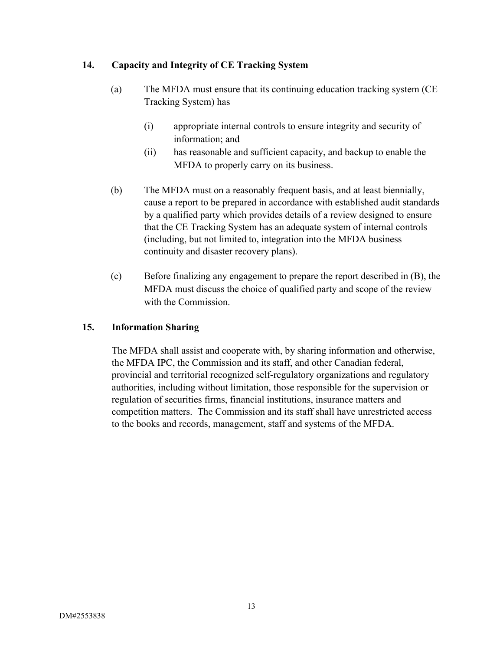# **14. Capacity and Integrity of CE Tracking System**

- (a) The MFDA must ensure that its continuing education tracking system (CE Tracking System) has
	- (i) appropriate internal controls to ensure integrity and security of information; and
	- (ii) has reasonable and sufficient capacity, and backup to enable the MFDA to properly carry on its business.
- (b) The MFDA must on a reasonably frequent basis, and at least biennially, cause a report to be prepared in accordance with established audit standards by a qualified party which provides details of a review designed to ensure that the CE Tracking System has an adequate system of internal controls (including, but not limited to, integration into the MFDA business continuity and disaster recovery plans).
- (c) Before finalizing any engagement to prepare the report described in (B), the MFDA must discuss the choice of qualified party and scope of the review with the Commission.

# **15. Information Sharing**

The MFDA shall assist and cooperate with, by sharing information and otherwise, the MFDA IPC, the Commission and its staff, and other Canadian federal, provincial and territorial recognized self-regulatory organizations and regulatory authorities, including without limitation, those responsible for the supervision or regulation of securities firms, financial institutions, insurance matters and competition matters. The Commission and its staff shall have unrestricted access to the books and records, management, staff and systems of the MFDA.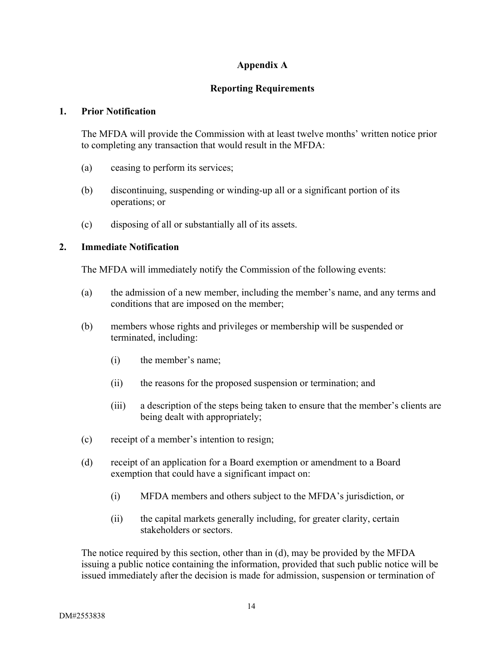# **Appendix A**

# **Reporting Requirements**

### **1. Prior Notification**

The MFDA will provide the Commission with at least twelve months' written notice prior to completing any transaction that would result in the MFDA:

- (a) ceasing to perform its services;
- (b) discontinuing, suspending or winding-up all or a significant portion of its operations; or
- (c) disposing of all or substantially all of its assets.

## **2. Immediate Notification**

The MFDA will immediately notify the Commission of the following events:

- (a) the admission of a new member, including the member's name, and any terms and conditions that are imposed on the member;
- (b) members whose rights and privileges or membership will be suspended or terminated, including:
	- (i) the member's name;
	- (ii) the reasons for the proposed suspension or termination; and
	- (iii) a description of the steps being taken to ensure that the member's clients are being dealt with appropriately;
- (c) receipt of a member's intention to resign;
- (d) receipt of an application for a Board exemption or amendment to a Board exemption that could have a significant impact on:
	- (i) MFDA members and others subject to the MFDA's jurisdiction, or
	- (ii) the capital markets generally including, for greater clarity, certain stakeholders or sectors.

The notice required by this section, other than in (d), may be provided by the MFDA issuing a public notice containing the information, provided that such public notice will be issued immediately after the decision is made for admission, suspension or termination of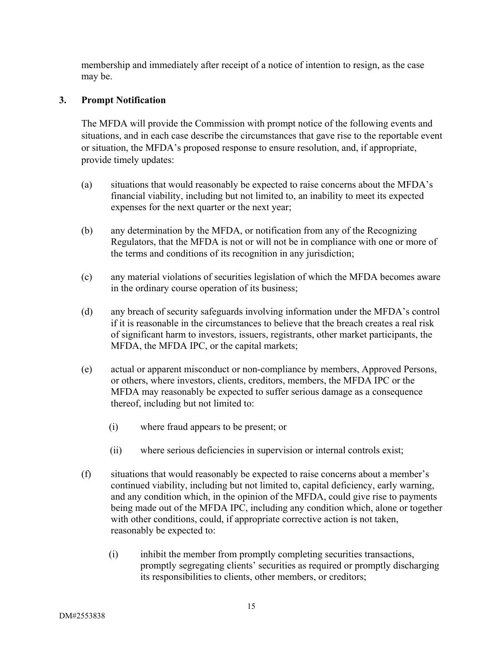membership and immediately after receipt of a notice of intention to resign, as the case may be.

## **3. Prompt Notification**

The MFDA will provide the Commission with prompt notice of the following events and situations, and in each case describe the circumstances that gave rise to the reportable event or situation, the MFDA's proposed response to ensure resolution, and, if appropriate, provide timely updates:

- (a) situations that would reasonably be expected to raise concerns about the MFDA's financial viability, including but not limited to, an inability to meet its expected expenses for the next quarter or the next year;
- (b) any determination by the MFDA, or notification from any of the Recognizing Regulators, that the MFDA is not or will not be in compliance with one or more of the terms and conditions of its recognition in any jurisdiction;
- (c) any material violations of securities legislation of which the MFDA becomes aware in the ordinary course operation of its business;
- (d) any breach of security safeguards involving information under the MFDA's control if it is reasonable in the circumstances to believe that the breach creates a real risk of significant harm to investors, issuers, registrants, other market participants, the MFDA, the MFDA IPC, or the capital markets;
- (e) actual or apparent misconduct or non-compliance by members, Approved Persons, or others, where investors, clients, creditors, members, the MFDA IPC or the MFDA may reasonably be expected to suffer serious damage as a consequence thereof, including but not limited to:
	- (i) where fraud appears to be present; or
	- (ii) where serious deficiencies in supervision or internal controls exist;
- (f) situations that would reasonably be expected to raise concerns about a member's continued viability, including but not limited to, capital deficiency, early warning, and any condition which, in the opinion of the MFDA, could give rise to payments being made out of the MFDA IPC, including any condition which, alone or together with other conditions, could, if appropriate corrective action is not taken, reasonably be expected to:
	- (i) inhibit the member from promptly completing securities transactions, promptly segregating clients' securities as required or promptly discharging its responsibilities to clients, other members, or creditors;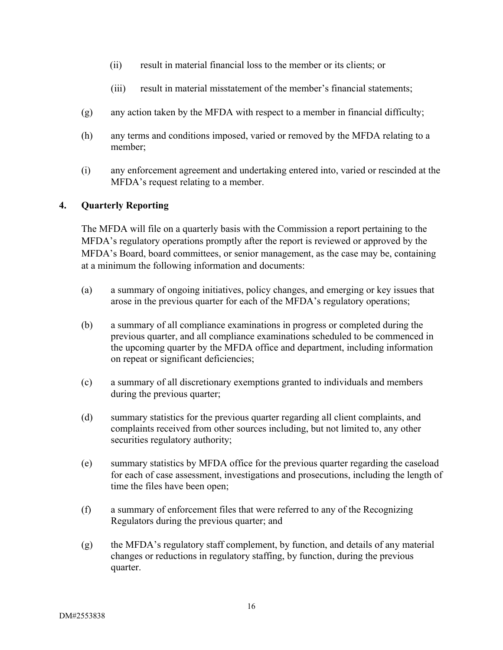- (ii) result in material financial loss to the member or its clients; or
- (iii) result in material misstatement of the member's financial statements;
- (g) any action taken by the MFDA with respect to a member in financial difficulty;
- (h) any terms and conditions imposed, varied or removed by the MFDA relating to a member;
- (i) any enforcement agreement and undertaking entered into, varied or rescinded at the MFDA's request relating to a member.

# **4. Quarterly Reporting**

The MFDA will file on a quarterly basis with the Commission a report pertaining to the MFDA's regulatory operations promptly after the report is reviewed or approved by the MFDA's Board, board committees, or senior management, as the case may be, containing at a minimum the following information and documents:

- (a) a summary of ongoing initiatives, policy changes, and emerging or key issues that arose in the previous quarter for each of the MFDA's regulatory operations;
- (b) a summary of all compliance examinations in progress or completed during the previous quarter, and all compliance examinations scheduled to be commenced in the upcoming quarter by the MFDA office and department, including information on repeat or significant deficiencies;
- (c) a summary of all discretionary exemptions granted to individuals and members during the previous quarter;
- (d) summary statistics for the previous quarter regarding all client complaints, and complaints received from other sources including, but not limited to, any other securities regulatory authority;
- (e) summary statistics by MFDA office for the previous quarter regarding the caseload for each of case assessment, investigations and prosecutions, including the length of time the files have been open;
- (f) a summary of enforcement files that were referred to any of the Recognizing Regulators during the previous quarter; and
- (g) the MFDA's regulatory staff complement, by function, and details of any material changes or reductions in regulatory staffing, by function, during the previous quarter.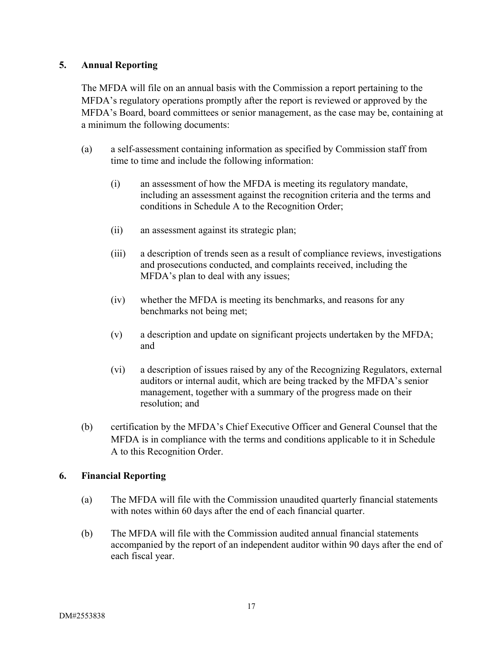## **5. Annual Reporting**

The MFDA will file on an annual basis with the Commission a report pertaining to the MFDA's regulatory operations promptly after the report is reviewed or approved by the MFDA's Board, board committees or senior management, as the case may be, containing at a minimum the following documents:

- (a) a self-assessment containing information as specified by Commission staff from time to time and include the following information:
	- (i) an assessment of how the MFDA is meeting its regulatory mandate, including an assessment against the recognition criteria and the terms and conditions in Schedule A to the Recognition Order;
	- (ii) an assessment against its strategic plan;
	- (iii) a description of trends seen as a result of compliance reviews, investigations and prosecutions conducted, and complaints received, including the MFDA's plan to deal with any issues;
	- (iv) whether the MFDA is meeting its benchmarks, and reasons for any benchmarks not being met;
	- (v) a description and update on significant projects undertaken by the MFDA; and
	- (vi) a description of issues raised by any of the Recognizing Regulators, external auditors or internal audit, which are being tracked by the MFDA's senior management, together with a summary of the progress made on their resolution; and
- (b) certification by the MFDA's Chief Executive Officer and General Counsel that the MFDA is in compliance with the terms and conditions applicable to it in Schedule A to this Recognition Order.

# **6. Financial Reporting**

- (a) The MFDA will file with the Commission unaudited quarterly financial statements with notes within 60 days after the end of each financial quarter.
- (b) The MFDA will file with the Commission audited annual financial statements accompanied by the report of an independent auditor within 90 days after the end of each fiscal year.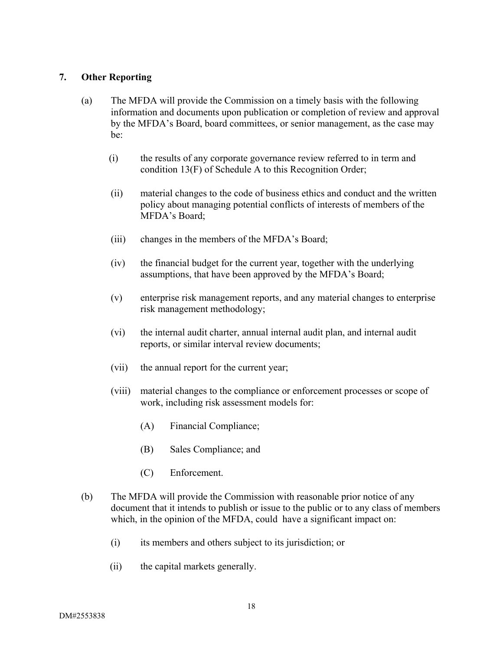## **7. Other Reporting**

- (a) The MFDA will provide the Commission on a timely basis with the following information and documents upon publication or completion of review and approval by the MFDA's Board, board committees, or senior management, as the case may be:
	- (i) the results of any corporate governance review referred to in term and condition 13(F) of Schedule A to this Recognition Order;
	- (ii) material changes to the code of business ethics and conduct and the written policy about managing potential conflicts of interests of members of the MFDA's Board;
	- (iii) changes in the members of the MFDA's Board;
	- (iv) the financial budget for the current year, together with the underlying assumptions, that have been approved by the MFDA's Board;
	- (v) enterprise risk management reports, and any material changes to enterprise risk management methodology;
	- (vi) the internal audit charter, annual internal audit plan, and internal audit reports, or similar interval review documents;
	- (vii) the annual report for the current year;
	- (viii) material changes to the compliance or enforcement processes or scope of work, including risk assessment models for:
		- (A) Financial Compliance;
		- (B) Sales Compliance; and
		- (C) Enforcement.
- (b) The MFDA will provide the Commission with reasonable prior notice of any document that it intends to publish or issue to the public or to any class of members which, in the opinion of the MFDA, could have a significant impact on:
	- (i) its members and others subject to its jurisdiction; or
	- (ii) the capital markets generally.